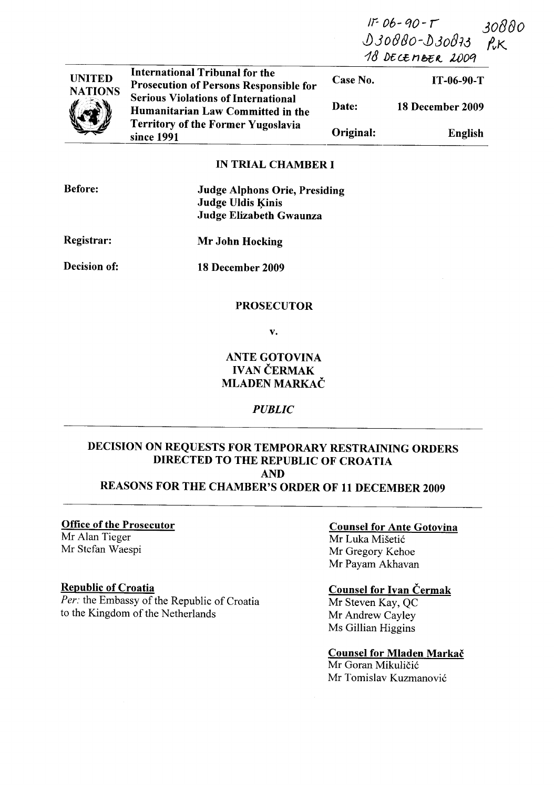IT- 06- qO-*r*  J)JoBfJo-J)Jo8ij *<sup>111</sup>*/)£ (£ *n* b75 t<. 1A)Oq 30880  $f_K$ 



International Tribunal for the Prosecution of Persons Responsible for Serious Violations of International Humanitarian Law Committed in the Territory of the Former Yugoslavia since 1991

Case No. IT-06-90-T Date: Original: 18 December 2009 English

#### IN TRIAL CHAMBER I

| <b>Before:</b> | <b>Judge Alphons Orie, Presiding</b><br><b>Judge Uldis Kinis</b><br>Judge Elizabeth Gwaunza |
|----------------|---------------------------------------------------------------------------------------------|
| Registrar:     | Mr John Hocking                                                                             |
| Decision of:   | 18 December 2009                                                                            |

#### PROSECUTOR

v.

# ANTE GOTOVINA **IVAN ČERMAK** MLADEN MARKAC

## *PUBLIC*

# DECISION ON REQUESTS FOR TEMPORARY RESTRAINING ORDERS DIRECTED TO THE REPUBLIC OF CROATIA AND

# REASONS FOR THE CHAMBER'S ORDER OF 11 DECEMBER 2009

#### Office of the Prosecutor

Mr Alan Tieger Mr Stefan Waespi

#### Republic of Croatia

Per: the Embassy of the Republic of Croatia to the Kingdom of the Netherlands

#### Counsel for Ante Gotovina

Mr Luka Misetic Mr Gregory Kehoe Mr Payam Akhavan

### Counsel for Ivan Čermak

Mr Steven Kay, QC Mr Andrew Cayley Ms Gillian Higgins

# Counsel for Mladen Markač

Mr Goran Mikuličić Mr Tomislav Kuzmanovic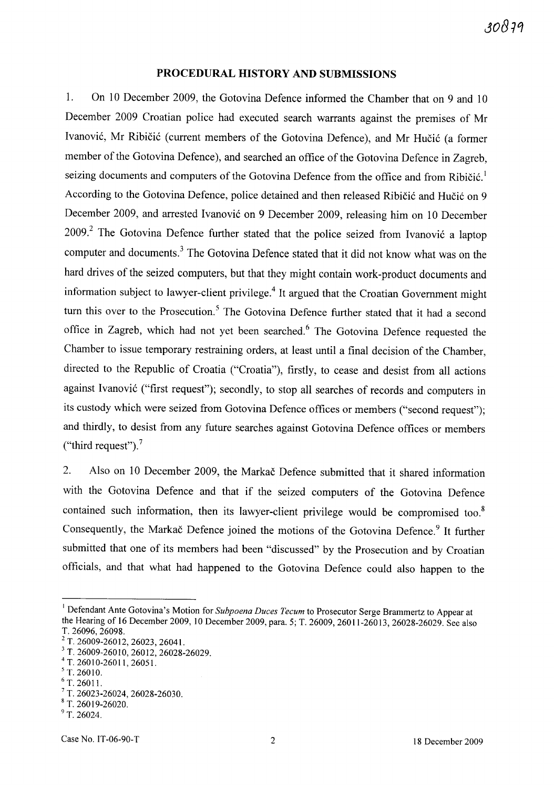#### **PROCEDURAL HISTORY AND SUBMISSIONS**

1. On 10 December 2009, the Gotovina Defence informed the Chamber that on 9 and 10 December 2009 Croatian police had executed search warrants against the premises of Mr Ivanović, Mr Ribičić (current members of the Gotovina Defence), and Mr Hučić (a former member of the Gotovina Defence), and searched an office of the Gotovina Defence in Zagreb, seizing documents and computers of the Gotovina Defence from the office and from Ribičić.<sup>1</sup> According to the Gotovina Defence, police detained and then released Ribičić and Hučić on 9 December 2009, and arrested Ivanović on 9 December 2009, releasing him on 10 December  $2009<sup>2</sup>$  The Gotovina Defence further stated that the police seized from Ivanović a laptop computer and documents.<sup>3</sup> The Gotovina Defence stated that it did not know what was on the hard drives of the seized computers, but that they might contain work-product documents and information subject to lawyer-client privilege.<sup>4</sup> It argued that the Croatian Government might turn this over to the Prosecution.<sup>5</sup> The Gotovina Defence further stated that it had a second office in Zagreb, which had not yet been searched.<sup>6</sup> The Gotovina Defence requested the Chamber to issue temporary restraining orders, at least until a final decision of the Chamber, directed to the Republic of Croatia ("Croatia"), firstly, to cease and desist from all actions against Ivanović ("first request"); secondly, to stop all searches of records and computers in its custody which were seized from Gotovina Defence offices or members ("second request"); and thirdly, to desist from any future searches against Gotovina Defence offices or members ("third request"). $<sup>7</sup>$ </sup>

2. Also on 10 December 2009, the Markac Defence submitted that it shared information with the Gotovina Defence and that if the seized computers of the Gotovina Defence contained such information, then its lawyer-client privilege would be compromised too. $8$ Consequently, the Markac Defence joined the motions of the Gotovina Defence.<sup>9</sup> It further submitted that one of its members had been "discussed" by the Prosecution and by Croatian officials, and that what had happened to the Gotovina Defence could also happen to the

<sup>&</sup>lt;sup>1</sup> Defendant Ante Gotovina's Motion for *Subpoena Duces Tecum* to Prosecutor Serge Brammertz to Appear at the Hearing of 16 December 2009,10 December 2009, para. 5; T. 26009, 26011-26013, 26028-26029. See also T. 26096, 26098.

 $2$  T. 26009-26012, 26023, 26041.

<sup>3</sup> T. 26009-26010, 26012, 26028-26029.

<sup>4</sup> T. 26010-26011, 26051.

 $5$  T. 26010.

 $6$  T. 26011.

<sup>7</sup>T. 26023-26024, 26028-26030.

<sup>8</sup> T. 26019-26020.

 $9$  T. 26024.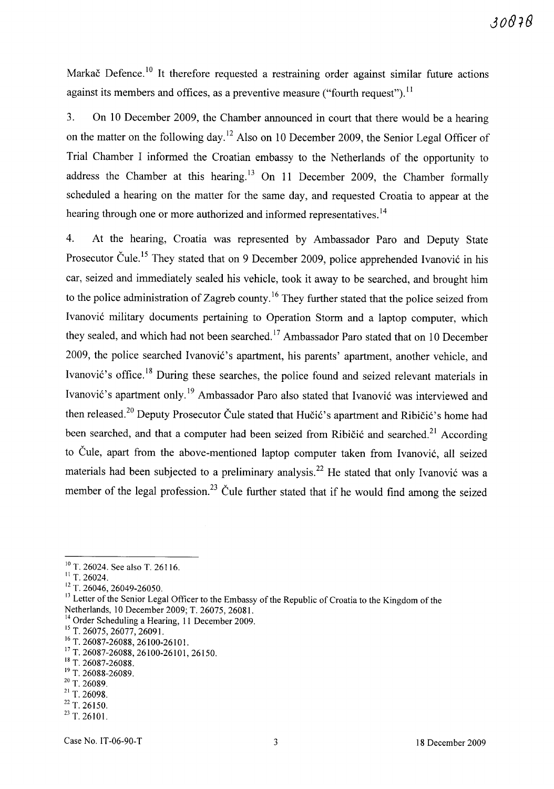Markač Defence.<sup>10</sup> It therefore requested a restraining order against similar future actions against its members and offices, as a preventive measure ("fourth request").<sup>11</sup>

3. On 10 December 2009, the Chamber announced in court that there would be a hearing on the matter on the following day.<sup>12</sup> Also on 10 December 2009, the Senior Legal Officer of Trial Chamber I informed the Croatian embassy to the Netherlands of the opportunity to address the Chamber at this hearing.<sup>13</sup> On 11 December 2009, the Chamber formally scheduled a hearing on the matter for the same day, and requested Croatia to appear at the hearing through one or more authorized and informed representatives.<sup>14</sup>

4. At the hearing, Croatia was represented by Ambassador Paro and Deputy State Prosecutor Čule.<sup>15</sup> They stated that on 9 December 2009, police apprehended Ivanović in his car, seized and immediately sealed his vehicle, took it away to be searched, and brought him to the police administration of Zagreb county.<sup>16</sup> They further stated that the police seized from Ivanovi6 military documents pertaining to Operation Storm and a laptop computer, which they sealed, and which had not been searched.<sup>17</sup> Ambassador Paro stated that on 10 December 2009, the police searched Ivanović's apartment, his parents' apartment, another vehicle, and Ivanović's office.<sup>18</sup> During these searches, the police found and seized relevant materials in Ivanović's apartment only.<sup>19</sup> Ambassador Paro also stated that Ivanović was interviewed and then released.<sup>20</sup> Deputy Prosecutor Čule stated that Hučić's apartment and Ribičić's home had been searched, and that a computer had been seized from Ribičić and searched.<sup>21</sup> According to Čule, apart from the above-mentioned laptop computer taken from Ivanović, all seized materials had been subjected to a preliminary analysis.<sup>22</sup> He stated that only Ivanović was a member of the legal profession.<sup>23</sup> Čule further stated that if he would find among the seized

 $20$  T. 26089.

- 22 T. 26150.
- $^{23}$  T. 26101.

<sup>&</sup>lt;sup>10</sup> T. 26024. See also T. 26116.

 $11$  T. 26024.

<sup>&</sup>lt;sup>12</sup> T. 26046, 26049-26050.

<sup>&</sup>lt;sup>13</sup> Letter of the Senior Legal Officer to the Embassy of the Republic of Croatia to the Kingdom of the Netherlands, 10 December 2009; T. 26075, 26081.

<sup>&</sup>lt;sup>14</sup> Order Scheduling a Hearing, 11 December 2009.

<sup>&</sup>lt;sup>15</sup> T. 26075, 26077, 26091.

<sup>&</sup>lt;sup>16</sup> T. 26087-26088, 26100-26101.

<sup>17</sup> T. 26087-26088, 26100-26101, 26150.

<sup>&</sup>lt;sup>18</sup> T. 26087-26088.

<sup>&</sup>lt;sup>19</sup> T. 26088-26089.

 $21$  T. 26098.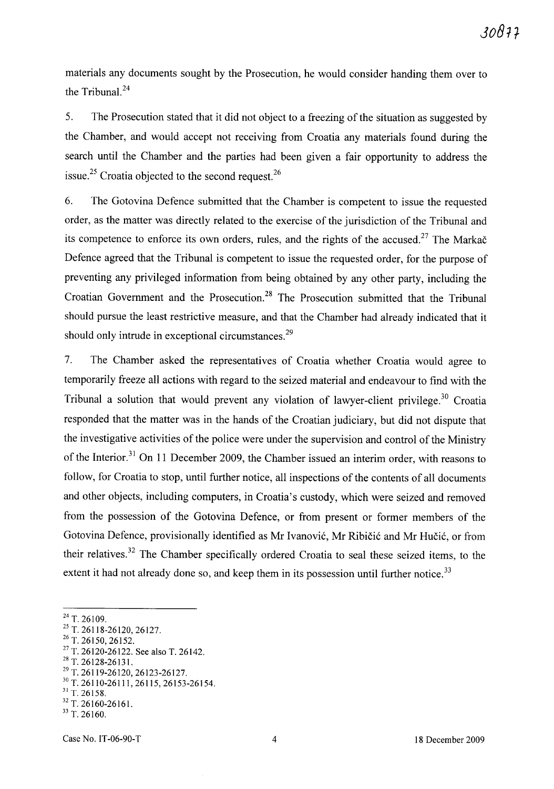materials any documents sought by the Prosecution, he would consider handing them over to the Tribunal. $^{24}$ 

5. The Prosecution stated that it did not object to a freezing of the situation as suggested by the Chamber, and would accept not receiving from Croatia any materials found during the search until the Chamber and the parties had been given a fair opportunity to address the issue.<sup>25</sup> Croatia objected to the second request.<sup>26</sup>

6. The Gotovina Defence submitted that the Chamber is competent to issue the requested order, as the matter was directly related to the exercise of the jurisdiction of the Tribunal and its competence to enforce its own orders, rules, and the rights of the accused.<sup>27</sup> The Markac Defence agreed that the Tribunal is competent to issue the requested order, for the purpose of preventing any privileged information from being obtained by any other party, including the Croatian Government and the Prosecution.<sup>28</sup> The Prosecution submitted that the Tribunal should pursue the least restrictive measure, and that the Chamber had already indicated that it should only intrude in exceptional circumstances.<sup>29</sup>

7. The Chamber asked the representatives of Croatia whether Croatia would agree to temporarily freeze all actions with regard to the seized material and endeavour to find with the Tribunal a solution that would prevent any violation of lawyer-client privilege.<sup>30</sup> Croatia responded that the matter was in the hands of the Croatian judiciary, but did not dispute that the investigative activities of the police were under the supervision and control of the Ministry of the Interior.<sup>31</sup> On 11 December 2009, the Chamber issued an interim order, with reasons to follow, for Croatia to stop, until further notice, all inspections of the contents of all documents and other objects, including computers, in Croatia's custody, which were seized and removed from the possession of the Gotovina Defence, or from present or former members of the Gotovina Defence, provisionally identified as Mr Ivanović, Mr Ribičić and Mr Hučić, or from their relatives. 32 The Chamber specifically ordered Croatia to seal these seized items, to the extent it had not already done so, and keep them in its possession until further notice.<sup>33</sup>

<sup>24</sup> T. 26109.

<sup>25</sup> T. 26118-26120, 26127.

 $26$  T. 26150, 26152.

 $27$  T. 26120-26122. See also T. 26142.

 $^{28}$  T. 26128-26131.

<sup>29</sup> T. 26119-26120, 26123-26127.

<sup>30</sup> T. 26110-26111, 26115, 26153-26154.  $31$  T. 26158.

<sup>32</sup> T. 26160-26161. 33 T. 26160.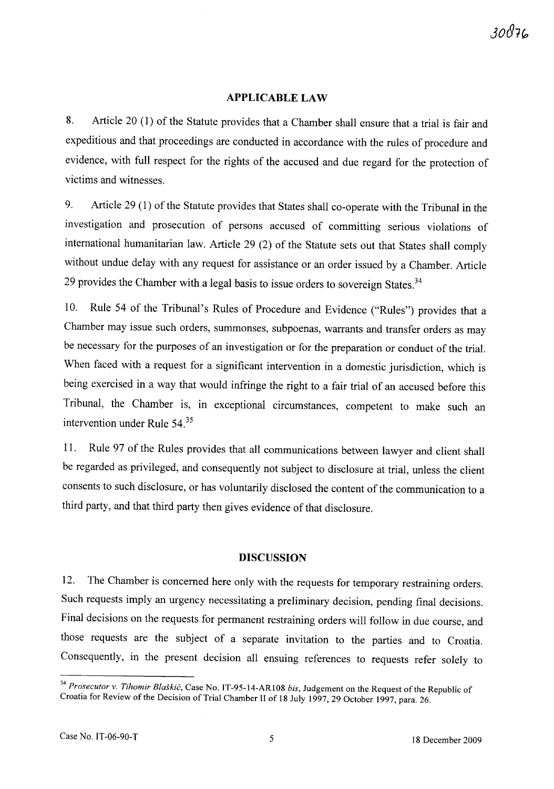#### **APPLICABLE LAW**

8. Article 20 (1) of the Statute provides that a Chamber shall ensure that a trial is fair and expeditious and that proceedings are conducted in accordance with the rules of procedure and evidence, with full respect for the rights of the accused and due regard for the protection of victims and witnesses.

9. Article 29 (1) of the Statute provides that States shall co-operate with the Tribunal in the investigation and prosecution of persons accused of committing serious violations of international humanitarian law. Article 29 (2) of the Statute sets out that States shall comply without undue delay with any request for assistance or an order issued by a Chamber. Article 29 provides the Chamber with a legal basis to issue orders to sovereign States. $34$ 

10. Rule 54 of the Tribunal's Rules of Procedure and Evidence ("Rules") provides that a Chamber may issue such orders, summonses, subpoenas, warrants and transfer orders as may be necessary for the purposes of an investigation or for the preparation or conduct of the trial. When faced with a request for a significant intervention in a domestic jurisdiction, which is being exercised in a way that would infringe the right to a fair trial of an accused before this Tribunal, the Chamber is, in exceptional circumstances, competent to make such an intervention under Rule 54.<sup>35</sup>

11. Rule 97 of the Rules provides that all communications between lawyer and client shall be regarded as privileged, and consequently not subject to disclosure at trial, unless the client consents to such disclosure, or has voluntarily disclosed the content of the communication to a third party, and that third party then gives evidence of that disclosure.

#### **DISCUSSION**

12. The Chamber is concerned here only with the requests for temporary restraining orders. Such requests imply an urgency necessitating a preliminary decision, pending final decisions. Final decisions on the requests for permanent restraining orders will follow in due course, and those requests are the subject of a separate invitation to the parties and to Croatia. Consequently, in the present decision all ensuing references to requests refer solely to

*<sup>34</sup> Prosecutor* v. *Tihomir Blaskic,* Case No. IT-95-14-AR108 *his,* Judgement on the Request of the Republic of Croatia for Review of the Decision of Trial Chamber 11 of 18 July 1997,29 October 1997, para. 26.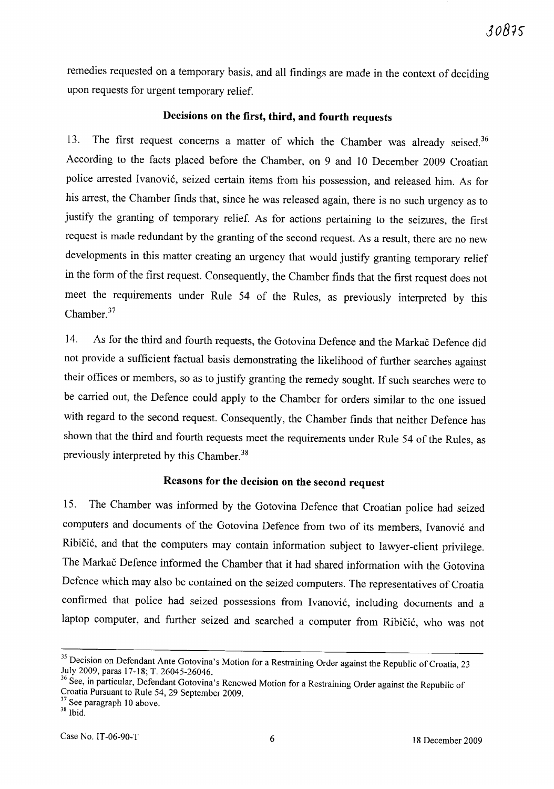remedies requested on a temporary basis, and all findings are made in the context of deciding upon requests for urgent temporary relief.

#### **Decisions on the first, third, and fourth requests**

13. The first request concerns a matter of which the Chamber was already seised.<sup>36</sup> According to the facts placed before the Chamber, on 9 and 10 December 2009 Croatian police arrested Ivanović, seized certain items from his possession, and released him. As for his arrest, the Chamber finds that, since he was released again, there is no such urgency as to justify the granting of temporary relief. As for actions pertaining to the seizures, the first request is made redundant by the granting of the second request. As a result, there are no new developments in this matter creating an urgency that would justify granting temporary relief in the form of the first request. Consequently, the Chamber finds that the first request does not meet the requirements under Rule 54 of the Rules, as previously interpreted by this Chamber.<sup>37</sup>

14. As for the third and fourth requests, the Gotovina Defence and the Markac Defence did not provide a sufficient factual basis demonstrating the likelihood of further searches against their offices or members, so as to justify granting the remedy sought. If such searches were to be carried out, the Defence could apply to the Chamber for orders similar to the one issued with regard to the second request. Consequently, the Chamber finds that neither Defence has shown that the third and fourth requests meet the requirements under Rule 54 of the Rules, as previously interpreted by this Chamber.<sup>38</sup>

## **Reasons for the decision on the second request**

15. The Chamber was informed by the Gotovina Defence that Croatian police had seized computers and documents of the Gotovina Defence from two of its members, Ivanović and Ribičić, and that the computers may contain information subject to lawyer-client privilege. The Markac Defence informed the Chamber that it had shared information with the Gotovina Defence which may also be contained on the seized computers. The representatives of Croatia confirmed that police had seized possessions from Ivanović, including documents and a laptop computer, and further seized and searched a computer from Ribičić, who was not

<sup>&</sup>lt;sup>35</sup> Decision on Defendant Ante Gotovina's Motion for a Restraining Order against the Republic of Croatia, 23 July 2009, paras 17-18; T. 26045-26046.

<sup>&</sup>lt;sup>36</sup> See, in particular, Defendant Gotovina's Renewed Motion for a Restraining Order against the Republic of Croatia Pursuant to Rule 54, 29 September 2009.

<sup>&</sup>lt;sup>37</sup> See paragraph 10 above.

<sup>38</sup> Ibid.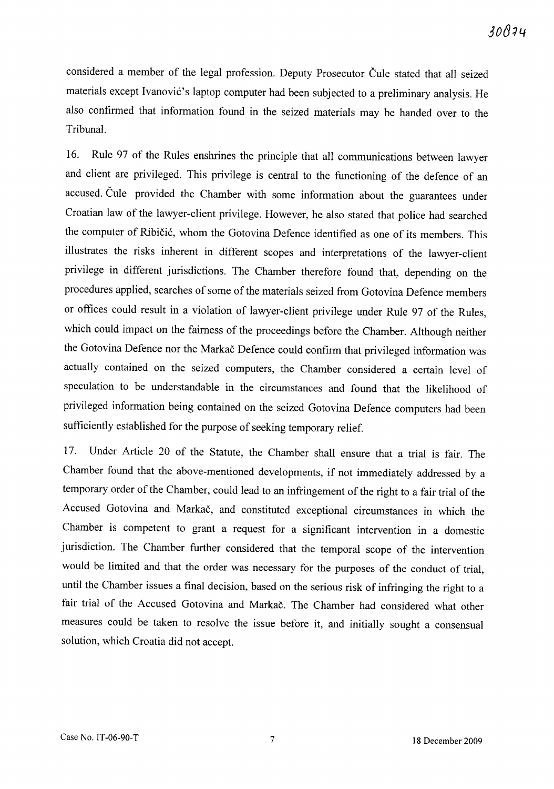considered a member of the legal profession. Deputy Prosecutor Čule stated that all seized materials except Ivanović's laptop computer had been subjected to a preliminary analysis. He also confirmed that information found in the seized materials may be handed over to the Tribunal.

16. Rule 97 of the Rules enshrines the principle that all communications between lawyer and client are privileged. This privilege is central to the functioning of the defence of an accused. Cule provided the Chamber with some information about the guarantees under Croatian law of the lawyer-client privilege. However, he also stated that police had searched the computer of Ribicic, whom the Gotovina Defence identified as one of its members. This illustrates the risks inherent in different scopes and interpretations of the lawyer-client privilege in different jurisdictions. The Chamber therefore found that, depending on the procedures applied, searches of some of the materials seized from Gotovina Defence members or offices could result in a violation of lawyer-client privilege under Rule 97 of the Rules, which could impact on the fairness of the proceedings before the Chamber. Although neither the Gotovina Defence nor the Markac Defence could confirm that privileged information was actually contained on the seized computers, the Chamber considered a certain level of speculation to be understandable in the circumstances and found that the likelihood of privileged information being contained on the seized Gotovina Defence computers had been sufficiently established for the purpose of seeking temporary relief.

17. Under Article 20 of the Statute, the Chamber shall ensure that a trial is fair. The Chamber found that the above-mentioned developments, if not immediately addressed by a temporary order of the Chamber, could lead to an infringement of the right to a fair trial of the Accused Gotovina and Markac, and constituted exceptional circumstances in which the Chamber is competent to grant a request for a significant intervention in a domestic jurisdiction. The Chamber further considered that the temporal scope of the intervention would be limited and that the order was necessary for the purposes of the conduct of trial, until the Chamber issues a final decision, based on the serious risk of infringing the right to a fair trial of the Accused Gotovina and Markac. The Chamber had considered what other measures could be taken to resolve the issue before it, and initially sought a consensual solution, which Croatia did not accept.